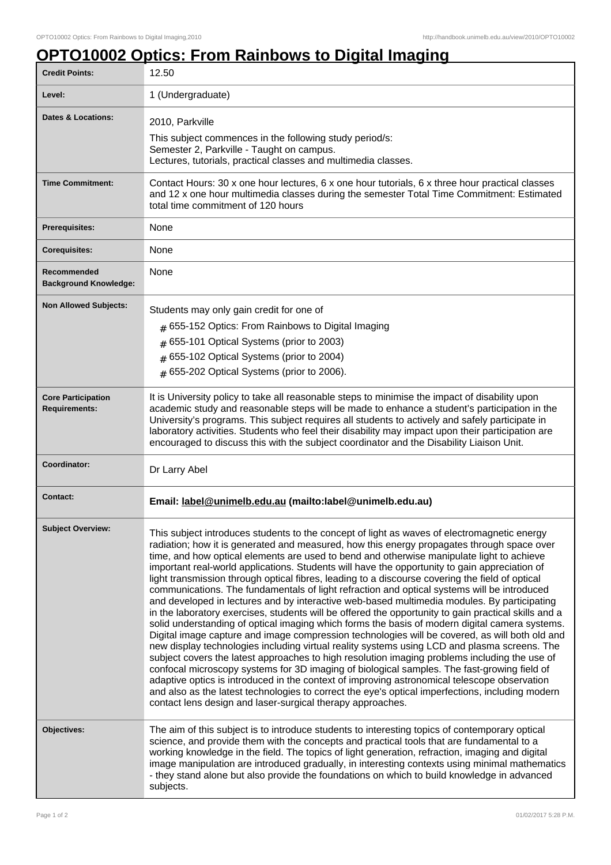## **OPTO10002 Optics: From Rainbows to Digital Imaging**

| <b>Credit Points:</b>                             | 12.50                                                                                                                                                                                                                                                                                                                                                                                                                                                                                                                                                                                                                                                                                                                                                                                                                                                                                                                                                                                                                                                                                                                                                                                                                                                                                                                                                                                                                                                                                                                                                                  |
|---------------------------------------------------|------------------------------------------------------------------------------------------------------------------------------------------------------------------------------------------------------------------------------------------------------------------------------------------------------------------------------------------------------------------------------------------------------------------------------------------------------------------------------------------------------------------------------------------------------------------------------------------------------------------------------------------------------------------------------------------------------------------------------------------------------------------------------------------------------------------------------------------------------------------------------------------------------------------------------------------------------------------------------------------------------------------------------------------------------------------------------------------------------------------------------------------------------------------------------------------------------------------------------------------------------------------------------------------------------------------------------------------------------------------------------------------------------------------------------------------------------------------------------------------------------------------------------------------------------------------------|
| Level:                                            | 1 (Undergraduate)                                                                                                                                                                                                                                                                                                                                                                                                                                                                                                                                                                                                                                                                                                                                                                                                                                                                                                                                                                                                                                                                                                                                                                                                                                                                                                                                                                                                                                                                                                                                                      |
| <b>Dates &amp; Locations:</b>                     | 2010, Parkville<br>This subject commences in the following study period/s:<br>Semester 2, Parkville - Taught on campus.<br>Lectures, tutorials, practical classes and multimedia classes.                                                                                                                                                                                                                                                                                                                                                                                                                                                                                                                                                                                                                                                                                                                                                                                                                                                                                                                                                                                                                                                                                                                                                                                                                                                                                                                                                                              |
| <b>Time Commitment:</b>                           | Contact Hours: 30 x one hour lectures, 6 x one hour tutorials, 6 x three hour practical classes<br>and 12 x one hour multimedia classes during the semester Total Time Commitment: Estimated<br>total time commitment of 120 hours                                                                                                                                                                                                                                                                                                                                                                                                                                                                                                                                                                                                                                                                                                                                                                                                                                                                                                                                                                                                                                                                                                                                                                                                                                                                                                                                     |
| <b>Prerequisites:</b>                             | None                                                                                                                                                                                                                                                                                                                                                                                                                                                                                                                                                                                                                                                                                                                                                                                                                                                                                                                                                                                                                                                                                                                                                                                                                                                                                                                                                                                                                                                                                                                                                                   |
| <b>Corequisites:</b>                              | None                                                                                                                                                                                                                                                                                                                                                                                                                                                                                                                                                                                                                                                                                                                                                                                                                                                                                                                                                                                                                                                                                                                                                                                                                                                                                                                                                                                                                                                                                                                                                                   |
| Recommended<br><b>Background Knowledge:</b>       | None                                                                                                                                                                                                                                                                                                                                                                                                                                                                                                                                                                                                                                                                                                                                                                                                                                                                                                                                                                                                                                                                                                                                                                                                                                                                                                                                                                                                                                                                                                                                                                   |
| <b>Non Allowed Subjects:</b>                      | Students may only gain credit for one of<br>$#$ 655-152 Optics: From Rainbows to Digital Imaging<br>$#$ 655-101 Optical Systems (prior to 2003)<br>$#$ 655-102 Optical Systems (prior to 2004)<br>$#$ 655-202 Optical Systems (prior to 2006).                                                                                                                                                                                                                                                                                                                                                                                                                                                                                                                                                                                                                                                                                                                                                                                                                                                                                                                                                                                                                                                                                                                                                                                                                                                                                                                         |
| <b>Core Participation</b><br><b>Requirements:</b> | It is University policy to take all reasonable steps to minimise the impact of disability upon<br>academic study and reasonable steps will be made to enhance a student's participation in the<br>University's programs. This subject requires all students to actively and safely participate in<br>laboratory activities. Students who feel their disability may impact upon their participation are<br>encouraged to discuss this with the subject coordinator and the Disability Liaison Unit.                                                                                                                                                                                                                                                                                                                                                                                                                                                                                                                                                                                                                                                                                                                                                                                                                                                                                                                                                                                                                                                                     |
| Coordinator:                                      | Dr Larry Abel                                                                                                                                                                                                                                                                                                                                                                                                                                                                                                                                                                                                                                                                                                                                                                                                                                                                                                                                                                                                                                                                                                                                                                                                                                                                                                                                                                                                                                                                                                                                                          |
| <b>Contact:</b>                                   | Email: label@unimelb.edu.au (mailto:label@unimelb.edu.au)                                                                                                                                                                                                                                                                                                                                                                                                                                                                                                                                                                                                                                                                                                                                                                                                                                                                                                                                                                                                                                                                                                                                                                                                                                                                                                                                                                                                                                                                                                              |
| Subject Overview:                                 | This subject introduces students to the concept of light as waves of electromagnetic energy<br>radiation; how it is generated and measured, how this energy propagates through space over<br>time, and how optical elements are used to bend and otherwise manipulate light to achieve<br>important real-world applications. Students will have the opportunity to gain appreciation of<br>light transmission through optical fibres, leading to a discourse covering the field of optical<br>communications. The fundamentals of light refraction and optical systems will be introduced<br>and developed in lectures and by interactive web-based multimedia modules. By participating<br>in the laboratory exercises, students will be offered the opportunity to gain practical skills and a<br>solid understanding of optical imaging which forms the basis of modern digital camera systems.<br>Digital image capture and image compression technologies will be covered, as will both old and<br>new display technologies including virtual reality systems using LCD and plasma screens. The<br>subject covers the latest approaches to high resolution imaging problems including the use of<br>confocal microscopy systems for 3D imaging of biological samples. The fast-growing field of<br>adaptive optics is introduced in the context of improving astronomical telescope observation<br>and also as the latest technologies to correct the eye's optical imperfections, including modern<br>contact lens design and laser-surgical therapy approaches. |
| Objectives:                                       | The aim of this subject is to introduce students to interesting topics of contemporary optical<br>science, and provide them with the concepts and practical tools that are fundamental to a<br>working knowledge in the field. The topics of light generation, refraction, imaging and digital<br>image manipulation are introduced gradually, in interesting contexts using minimal mathematics<br>- they stand alone but also provide the foundations on which to build knowledge in advanced<br>subjects.                                                                                                                                                                                                                                                                                                                                                                                                                                                                                                                                                                                                                                                                                                                                                                                                                                                                                                                                                                                                                                                           |